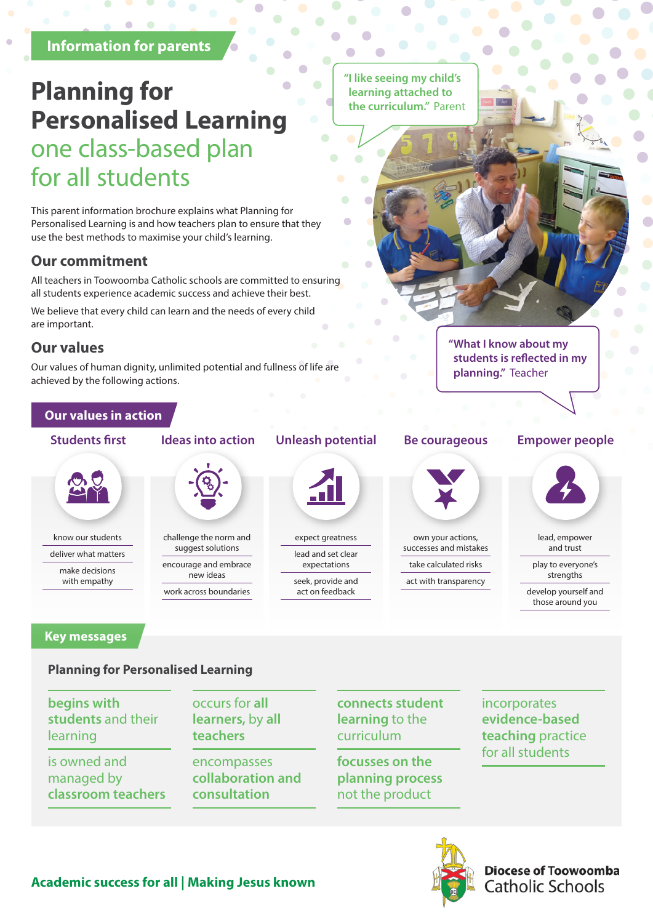#### **Information for parents**

## **Planning for Personalised Learning** one class-based plan for all students

This parent information brochure explains what Planning for Personalised Learning is and how teachers plan to ensure that they use the best methods to maximise your child's learning.

### **Our commitment**

All teachers in Toowoomba Catholic schools are committed to ensuring all students experience academic success and achieve their best.

We believe that every child can learn and the needs of every child are important.

#### **Our values**

Our values of human dignity, unlimited potential and fullness of life are achieved by the following actions.

#### **Our values in action**



know our students

deliver what matters make decisions with empathy

work across boundaries

challenge the norm and suggest solutions encourage and embrace new ideas

#### **Students first Ideas into action Unleash potential**



expect greatness lead and set clear expectations seek, provide and

act on feedback

**"I like seeing my child's learning attached to the curriculum."** Parent



own your actions, successes and mistakes

take calculated risks act with transparency

#### **Be courageous Empower people**

**"What I know about my students is reflected in my** 

**planning."** Teacher



lead, empower and trust

play to everyone's strengths

develop yourself and those around you

#### **Key messages**

#### **Planning for Personalised Learning**

**begins with students** and their learning

is owned and managed by **classroom teachers** occurs for **all learners,** by **all teachers**

encompasses **collaboration and consultation**

**connects student learning** to the curriculum

**focusses on the planning process**  not the product

incorporates **evidence-based teaching** practice for all students



**Diocese of Toowoomba Catholic Schools**